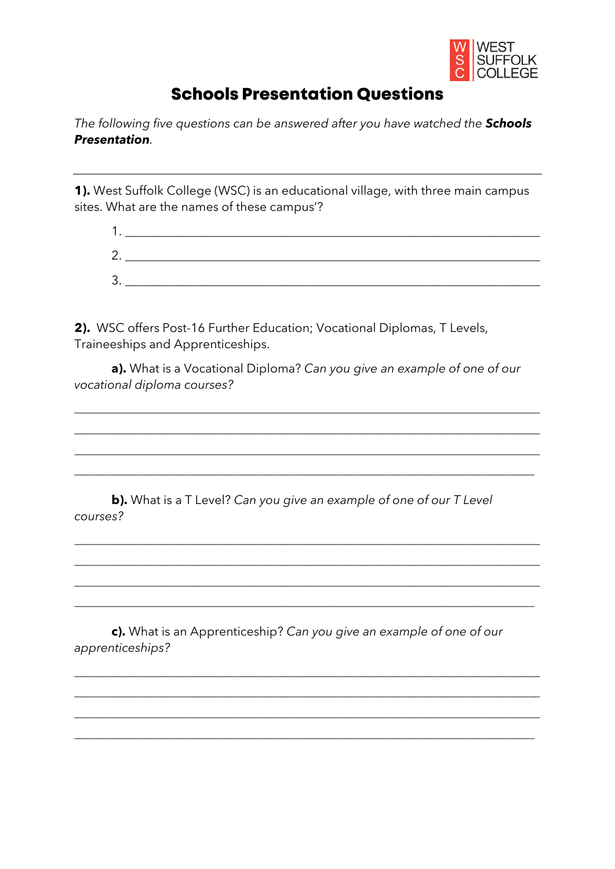

## **Schools Presentation Questions**

The following five questions can be answered after you have watched the Schools **Presentation** 

1). West Suffolk College (WSC) is an educational village, with three main campus sites. What are the names of these campus'?

| r                             |  |  |
|-------------------------------|--|--|
| ာ<br>$\overline{\phantom{a}}$ |  |  |

2). WSC offers Post-16 Further Education; Vocational Diplomas, T Levels, Traineeships and Apprenticeships.

a). What is a Vocational Diploma? Can you give an example of one of our vocational diploma courses?

b). What is a T Level? Can you give an example of one of our T Level courses?

c). What is an Apprenticeship? Can you give an example of one of our apprenticeships?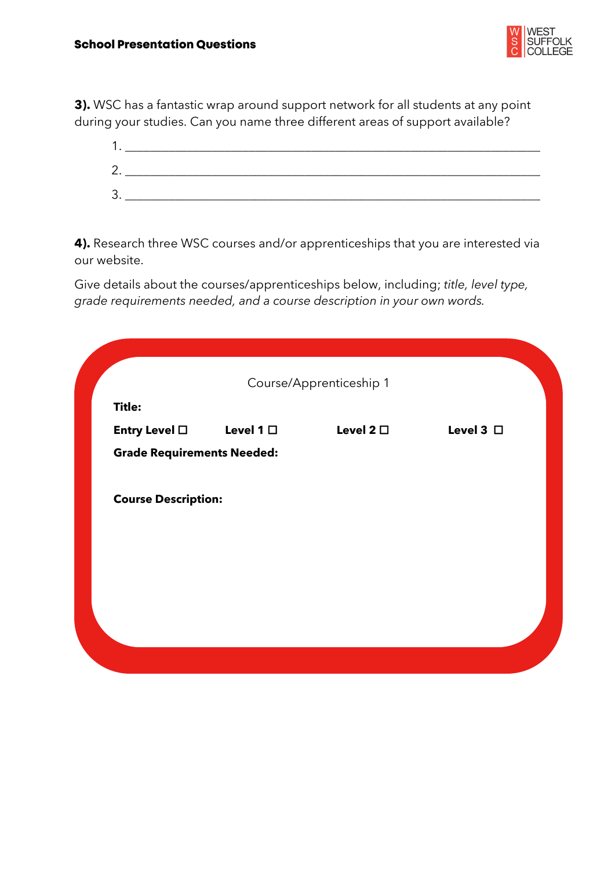

**3).** WSC has a fantastic wrap around support network for all students at any point during your studies. Can you name three different areas of support available?

| ◢  |  |
|----|--|
| 2. |  |
| 3. |  |

**4).** Research three WSC courses and/or apprenticeships that you are interested via our website.

Give details about the courses/apprenticeships below, including; *title, level type, grade requirements needed, and a course description in your own words.*

| Course/Apprenticeship 1<br><b>Title:</b> |                   |                   |                |
|------------------------------------------|-------------------|-------------------|----------------|
| Entry Level $\Box$                       | Level 1 $\square$ | Level 2 $\square$ | Level 3 $\Box$ |
| <b>Grade Requirements Needed:</b>        |                   |                   |                |
| <b>Course Description:</b>               |                   |                   |                |
|                                          |                   |                   |                |
|                                          |                   |                   |                |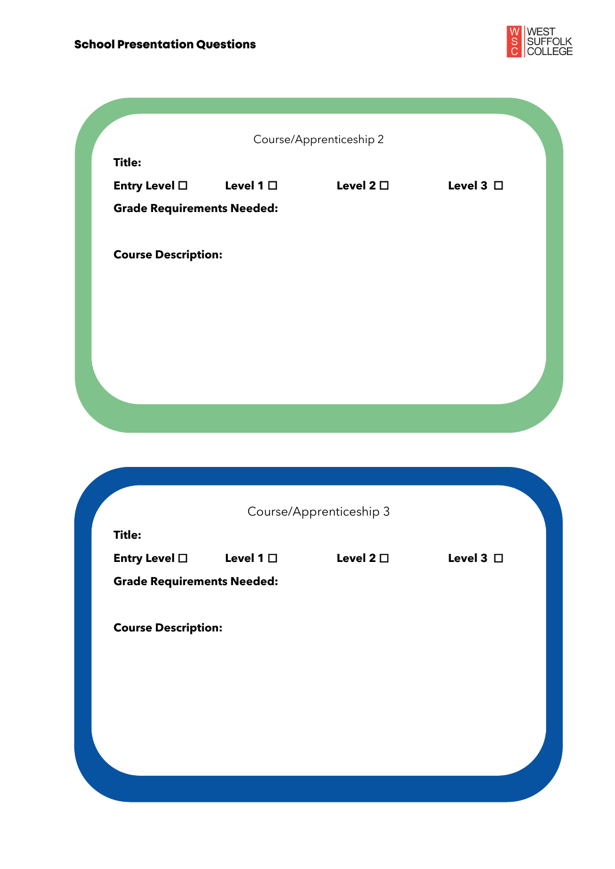

|                                   |                | Course/Apprenticeship 2 |                |
|-----------------------------------|----------------|-------------------------|----------------|
| <b>Title:</b>                     |                |                         |                |
| Entry Level □                     | Level 1 $\Box$ | Level 2 $\square$       | Level 3 $\Box$ |
| <b>Grade Requirements Needed:</b> |                |                         |                |
|                                   |                |                         |                |
| <b>Course Description:</b>        |                |                         |                |
|                                   |                |                         |                |
|                                   |                |                         |                |
|                                   |                |                         |                |
|                                   |                |                         |                |
|                                   |                |                         |                |
|                                   |                |                         |                |
|                                   |                |                         |                |

|               | Course/Apprenticeship 3    |                                   |                   |                |  |
|---------------|----------------------------|-----------------------------------|-------------------|----------------|--|
| <b>Title:</b> |                            | Level 1 $\square$                 | Level 2 $\square$ | Level 3 $\Box$ |  |
|               | Entry Level $\Box$         | <b>Grade Requirements Needed:</b> |                   |                |  |
|               |                            |                                   |                   |                |  |
|               | <b>Course Description:</b> |                                   |                   |                |  |
|               |                            |                                   |                   |                |  |
|               |                            |                                   |                   |                |  |
|               |                            |                                   |                   |                |  |
|               |                            |                                   |                   |                |  |
|               |                            |                                   |                   |                |  |
|               |                            |                                   |                   |                |  |
|               |                            |                                   |                   |                |  |